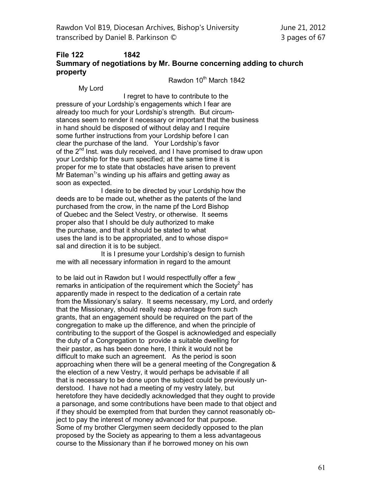## **File 122 1842 Summary of negotiations by Mr. Bourne concerning adding to church property**

Rawdon 10th March 1842

My Lord

I regret to have to contribute to the pressure of your Lordship's engagements which I fear are already too much for your Lordship's strength. But circumstances seem to render it necessary or important that the business in hand should be disposed of without delay and I require some further instructions from your Lordship before I can clear the purchase of the land. Your Lordship's favor of the  $2^{nd}$  Inst. was duly received, and I have promised to draw upon your Lordship for the sum specified; at the same time it is proper for me to state that obstacles have arisen to prevent Mr Bateman<sup>1</sup>'s winding up his affairs and getting away as soon as expected.

I desire to be directed by your Lordship how the deeds are to be made out, whether as the patents of the land purchased from the crow, in the name pf the Lord Bishop of Quebec and the Select Vestry, or otherwise. It seems proper also that I should be duly authorized to make the purchase, and that it should be stated to what uses the land is to be appropriated, and to whose dispo= sal and direction it is to be subject.

It is I presume your Lordship's design to furnish me with all necessary information in regard to the amount

to be laid out in Rawdon but I would respectfully offer a few remarks in anticipation of the requirement which the Society<sup>2</sup> has apparently made in respect to the dedication of a certain rate from the Missionary's salary. It seems necessary, my Lord, and orderly that the Missionary, should really reap advantage from such grants, that an engagement should be required on the part of the congregation to make up the difference, and when the principle of contributing to the support of the Gospel is acknowledged and especially the duty of a Congregation to provide a suitable dwelling for their pastor, as has been done here, I think it would not be difficult to make such an agreement. As the period is soon approaching when there will be a general meeting of the Congregation & the election of a new Vestry, it would perhaps be advisable if all that is necessary to be done upon the subject could be previously understood. I have not had a meeting of my vestry lately, but heretofore they have decidedly acknowledged that they ought to provide a parsonage, and some contributions have been made to that object and if they should be exempted from that burden they cannot reasonably object to pay the interest of money advanced for that purpose. Some of my brother Clergymen seem decidedly opposed to the plan proposed by the Society as appearing to them a less advantageous course to the Missionary than if he borrowed money on his own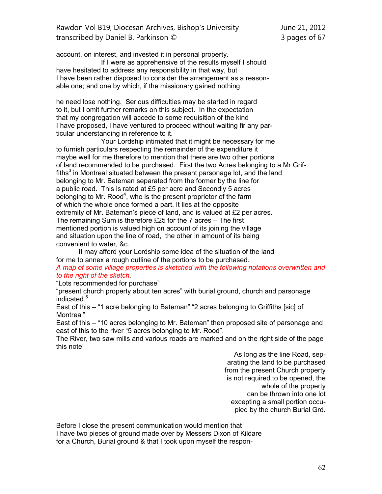account, on interest, and invested it in personal property.

If I were as apprehensive of the results myself I should have hesitated to address any responsibility in that way, but I have been rather disposed to consider the arrangement as a reasonable one; and one by which, if the missionary gained nothing

he need lose nothing. Serious difficulties may be started in regard to it, but I omit further remarks on this subject. In the expectation that my congregation will accede to some requisition of the kind I have proposed, I have ventured to proceed without waiting fir any particular understanding in reference to it.

Your Lordship intimated that it might be necessary for me to furnish particulars respecting the remainder of the expenditure it maybe well for me therefore to mention that there are two other portions of land recommended to be purchased. First the two Acres belonging to a Mr.Griffiths<sup>3</sup> in Montreal situated between the present parsonage lot, and the land belonging to Mr. Bateman separated from the former by the line for a public road. This is rated at £5 per acre and Secondly 5 acres belonging to Mr. Rood<sup>4</sup>, who is the present proprietor of the farm of which the whole once formed a part. It lies at the opposite extremity of Mr. Bateman's piece of land, and is valued at £2 per acres. The remaining Sum is therefore £25 for the 7 acres – The first mentioned portion is valued high on account of its joining the village and situation upon the line of road, the other in amount of its being convenient to water, &c.

It may afford your Lordship some idea of the situation of the land for me to annex a rough outline of the portions to be purchased.

*A map of some village properties is sketched with the following notations overwritten and to the right of the sketch.*

"Lots recommended for purchase"

"present church property about ten acres" with burial ground, church and parsonage indicated.<sup>5</sup>

East of this – "1 acre belonging to Bateman" "2 acres belonging to Griffiths [sic] of Montreal"

East of this – "10 acres belonging to Mr. Bateman" then proposed site of parsonage and east of this to the river "5 acres belonging to Mr. Rood".

The River, two saw mills and various roads are marked and on the right side of the page this note'

As long as the line Road, separating the land to be purchased from the present Church property is not required to be opened, the whole of the property can be thrown into one lot excepting a small portion occupied by the church Burial Grd.

Before I close the present communication would mention that I have two pieces of ground made over by Messers Dixon of Kildare for a Church, Burial ground & that I took upon myself the respon-